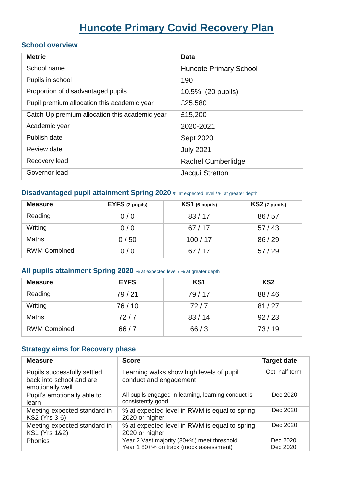# **Huncote Primary Covid Recovery Plan**

#### **School overview**

| <b>Metric</b>                                  | Data                          |
|------------------------------------------------|-------------------------------|
| School name                                    | <b>Huncote Primary School</b> |
| Pupils in school                               | 190                           |
| Proportion of disadvantaged pupils             | 10.5% (20 pupils)             |
| Pupil premium allocation this academic year    | £25,580                       |
| Catch-Up premium allocation this academic year | £15,200                       |
| Academic year                                  | 2020-2021                     |
| Publish date                                   | <b>Sept 2020</b>              |
| Review date                                    | <b>July 2021</b>              |
| Recovery lead                                  | <b>Rachel Cumberlidge</b>     |
| Governor lead                                  | Jacqui Stretton               |

#### **Disadvantaged pupil attainment Spring 2020** % at expected level / % at greater depth

| <b>Measure</b>      | EYFS (2 pupils) | $KS1$ (6 pupils) | $KS2$ (7 pupils) |
|---------------------|-----------------|------------------|------------------|
| Reading             | 0/0             | 83/17            | 86/57            |
| Writing             | 0/0             | 67/17            | 57/43            |
| Maths               | 0/50            | 100/17           | 86/29            |
| <b>RWM Combined</b> | 0/0             | 67/17            | 57/29            |

#### **All pupils attainment Spring 2020** % at expected level / % at greater depth

| <b>Measure</b>      | <b>EYFS</b> | KS <sub>1</sub> | KS <sub>2</sub> |
|---------------------|-------------|-----------------|-----------------|
| Reading             | 79/21       | 79/17           | 88/46           |
| Writing             | 76/10       | 72/7            | 81/27           |
| Maths               | 72/7        | 83/14           | 92/23           |
| <b>RWM Combined</b> | 66/7        | 66/3            | 73/19           |

#### **Strategy aims for Recovery phase**

| <b>Measure</b>                                                              | <b>Score</b>                                                                         | <b>Target date</b>   |
|-----------------------------------------------------------------------------|--------------------------------------------------------------------------------------|----------------------|
| Pupils successfully settled<br>back into school and are<br>emotionally well | Learning walks show high levels of pupil<br>conduct and engagement                   | Oct half term        |
| Pupil's emotionally able to<br>learn                                        | All pupils engaged in learning, learning conduct is<br>consistently good             | Dec 2020             |
| Meeting expected standard in<br>KS2 (Yrs 3-6)                               | % at expected level in RWM is equal to spring<br>2020 or higher                      | Dec 2020             |
| Meeting expected standard in<br>KS1 (Yrs 1&2)                               | % at expected level in RWM is equal to spring<br>2020 or higher                      | Dec 2020             |
| <b>Phonics</b>                                                              | Year 2 Vast majority (80+%) meet threshold<br>Year 1 80+% on track (mock assessment) | Dec 2020<br>Dec 2020 |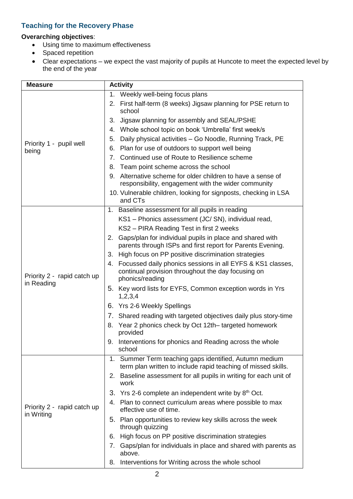### **Teaching for the Recovery Phase**

#### **Overarching objectives**:

- Using time to maximum effectiveness
- Spaced repetition
- Clear expectations we expect the vast majority of pupils at Huncote to meet the expected level by the end of the year

| <b>Measure</b>                            | <b>Activity</b>                                                                                                                           |  |  |
|-------------------------------------------|-------------------------------------------------------------------------------------------------------------------------------------------|--|--|
|                                           | 1. Weekly well-being focus plans                                                                                                          |  |  |
|                                           | First half-term (8 weeks) Jigsaw planning for PSE return to<br>2.<br>school                                                               |  |  |
|                                           | Jigsaw planning for assembly and SEAL/PSHE<br>3.                                                                                          |  |  |
|                                           | Whole school topic on book 'Umbrella' first week/s<br>4.                                                                                  |  |  |
|                                           | Daily physical activities - Go Noodle, Running Track, PE<br>5.                                                                            |  |  |
| Priority 1 - pupil well<br>being          | Plan for use of outdoors to support well being<br>6.                                                                                      |  |  |
|                                           | Continued use of Route to Resilience scheme<br>7.                                                                                         |  |  |
|                                           | Team point scheme across the school<br>8.                                                                                                 |  |  |
|                                           | Alternative scheme for older children to have a sense of<br>9.<br>responsibility, engagement with the wider community                     |  |  |
|                                           | 10. Vulnerable children, looking for signposts, checking in LSA<br>and CTs                                                                |  |  |
|                                           | 1. Baseline assessment for all pupils in reading                                                                                          |  |  |
|                                           | KS1 - Phonics assessment (JC/SN), individual read,                                                                                        |  |  |
|                                           | KS2 - PIRA Reading Test in first 2 weeks                                                                                                  |  |  |
| Priority 2 - rapid catch up<br>in Reading | Gaps/plan for individual pupils in place and shared with<br>2.<br>parents through ISPs and first report for Parents Evening.              |  |  |
|                                           | High focus on PP positive discrimination strategies<br>3.                                                                                 |  |  |
|                                           | Focussed daily phonics sessions in all EYFS & KS1 classes,<br>4.<br>continual provision throughout the day focusing on<br>phonics/reading |  |  |
|                                           | 5. Key word lists for EYFS, Common exception words in Yrs<br>1,2,3,4                                                                      |  |  |
|                                           | 6. Yrs 2-6 Weekly Spellings                                                                                                               |  |  |
|                                           | 7. Shared reading with targeted objectives daily plus story-time                                                                          |  |  |
|                                           | 8. Year 2 phonics check by Oct 12th– targeted homework<br>provided                                                                        |  |  |
|                                           | 9. Interventions for phonics and Reading across the whole<br>school                                                                       |  |  |
|                                           | 1. Summer Term teaching gaps identified, Autumn medium<br>term plan written to include rapid teaching of missed skills.                   |  |  |
| Priority 2 - rapid catch up<br>in Writing | 2. Baseline assessment for all pupils in writing for each unit of<br>work                                                                 |  |  |
|                                           | 3. Yrs 2-6 complete an independent write by $8th$ Oct.                                                                                    |  |  |
|                                           | Plan to connect curriculum areas where possible to max<br>4.<br>effective use of time.                                                    |  |  |
|                                           | 5. Plan opportunities to review key skills across the week<br>through quizzing                                                            |  |  |
|                                           | High focus on PP positive discrimination strategies<br>6.                                                                                 |  |  |
|                                           | Gaps/plan for individuals in place and shared with parents as<br>7.<br>above.                                                             |  |  |
|                                           | 8. Interventions for Writing across the whole school                                                                                      |  |  |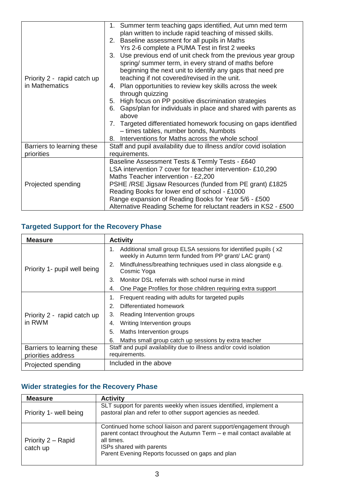|                             | 1. Summer term teaching gaps identified, Aut umn med term           |  |  |
|-----------------------------|---------------------------------------------------------------------|--|--|
|                             | plan written to include rapid teaching of missed skills.            |  |  |
|                             | 2. Baseline assessment for all pupils in Maths                      |  |  |
|                             | Yrs 2-6 complete a PUMA Test in first 2 weeks                       |  |  |
|                             | 3. Use previous end of unit check from the previous year group      |  |  |
|                             | spring/ summer term, in every strand of maths before                |  |  |
|                             | beginning the next unit to identify any gaps that need pre          |  |  |
| Priority 2 - rapid catch up | teaching if not covered/revised in the unit.                        |  |  |
| in Mathematics              | 4. Plan opportunities to review key skills across the week          |  |  |
|                             | through quizzing                                                    |  |  |
|                             | High focus on PP positive discrimination strategies<br>5.           |  |  |
|                             | Gaps/plan for individuals in place and shared with parents as<br>6. |  |  |
|                             | above                                                               |  |  |
|                             | Targeted differentiated homework focusing on gaps identified<br>7.  |  |  |
|                             | - times tables, number bonds, Numbots                               |  |  |
|                             | Interventions for Maths across the whole school<br>8.               |  |  |
| Barriers to learning these  | Staff and pupil availability due to illness and/or covid isolation  |  |  |
| priorities                  | requirements.                                                       |  |  |
|                             | Baseline Assessment Tests & Termly Tests - £640                     |  |  |
|                             | LSA intervention 7 cover for teacher intervention-£10,290           |  |  |
|                             | Maths Teacher intervention - £2,200                                 |  |  |
| Projected spending          | PSHE /RSE Jigsaw Resources (funded from PE grant) £1825             |  |  |
|                             | Reading Books for lower end of school - £1000                       |  |  |
|                             | Range expansion of Reading Books for Year 5/6 - £500                |  |  |
|                             | Alternative Reading Scheme for reluctant readers in KS2 - £500      |  |  |

## **Targeted Support for the Recovery Phase**

| <b>Measure</b>                                   | <b>Activity</b>                                                                                                                 |  |
|--------------------------------------------------|---------------------------------------------------------------------------------------------------------------------------------|--|
| Priority 1- pupil well being                     | Additional small group ELSA sessions for identified pupils (x2)<br>1.<br>weekly in Autumn term funded from PP grant/ LAC grant) |  |
|                                                  | Mindfulness/breathing techniques used in class alongside e.g.<br>2.<br>Cosmic Yoga                                              |  |
|                                                  | Monitor DSL referrals with school nurse in mind<br>3.                                                                           |  |
|                                                  | One Page Profiles for those children requiring extra support<br>4.                                                              |  |
| Priority 2 - rapid catch up<br>in RWM            | Frequent reading with adults for targeted pupils<br>1.                                                                          |  |
|                                                  | Differentiated homework<br>2.                                                                                                   |  |
|                                                  | Reading Intervention groups<br>3.                                                                                               |  |
|                                                  | Writing Intervention groups<br>4.                                                                                               |  |
|                                                  | Maths Intervention groups<br>5.                                                                                                 |  |
|                                                  | Maths small group catch up sessions by extra teacher<br>6.                                                                      |  |
| Barriers to learning these<br>priorities address | Staff and pupil availability due to illness and/or covid isolation<br>requirements.                                             |  |
| Projected spending                               | Included in the above                                                                                                           |  |

## **Wider strategies for the Recovery Phase**

| <b>Measure</b>                 | <b>Activity</b>                                                                                                                                                                                                                              |
|--------------------------------|----------------------------------------------------------------------------------------------------------------------------------------------------------------------------------------------------------------------------------------------|
| Priority 1- well being         | SLT support for parents weekly when issues identified, implement a<br>pastoral plan and refer to other support agencies as needed.                                                                                                           |
| Priority 2 – Rapid<br>catch up | Continued home school liaison and parent support/engagement through<br>parent contact throughout the Autumn Term - e mail contact available at<br>all times.<br>ISPs shared with parents<br>Parent Evening Reports focussed on gaps and plan |